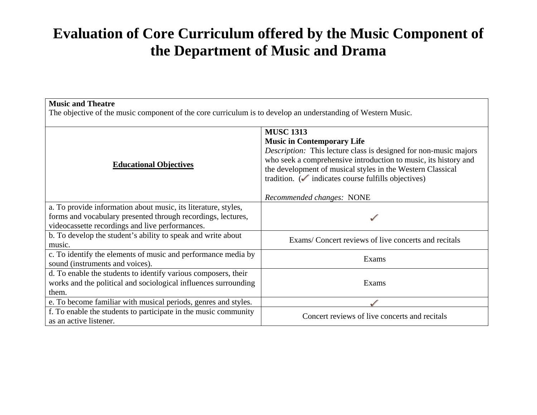## **Evaluation of Core Curriculum offered by the Music Component of the Department of Music and Drama**

## **Music and Theatre**

The objective of the music component of the core curriculum is to develop an understanding of Western Music.

| <b>Educational Objectives</b>                                   | <b>MUSC 1313</b>                                                        |
|-----------------------------------------------------------------|-------------------------------------------------------------------------|
|                                                                 | <b>Music in Contemporary Life</b>                                       |
|                                                                 | Description: This lecture class is designed for non-music majors        |
|                                                                 | who seek a comprehensive introduction to music, its history and         |
|                                                                 | the development of musical styles in the Western Classical              |
|                                                                 | tradition. $\left(\sqrt{\right)}$ indicates course fulfills objectives) |
|                                                                 |                                                                         |
|                                                                 | Recommended changes: NONE                                               |
| a. To provide information about music, its literature, styles,  |                                                                         |
| forms and vocabulary presented through recordings, lectures,    |                                                                         |
| videocassette recordings and live performances.                 |                                                                         |
| b. To develop the student's ability to speak and write about    | Exams/Concert reviews of live concerts and recitals                     |
| music.                                                          |                                                                         |
| c. To identify the elements of music and performance media by   | Exams                                                                   |
| sound (instruments and voices).                                 |                                                                         |
| d. To enable the students to identify various composers, their  |                                                                         |
| works and the political and sociological influences surrounding | Exams                                                                   |
| them.                                                           |                                                                         |
| e. To become familiar with musical periods, genres and styles.  |                                                                         |
| f. To enable the students to participate in the music community | Concert reviews of live concerts and recitals                           |
| as an active listener.                                          |                                                                         |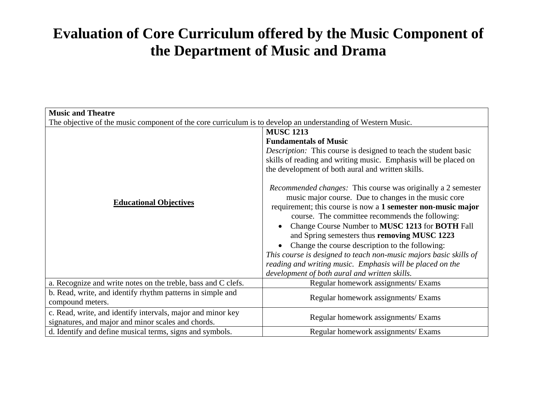## **Evaluation of Core Curriculum offered by the Music Component of the Department of Music and Drama**

| <b>Music and Theatre</b>                                                                                          |                                                                                                                                                                                                                                                                                                                                                                                                                                                                                                                                                                                                                                                                                                                                                                                                                                               |  |
|-------------------------------------------------------------------------------------------------------------------|-----------------------------------------------------------------------------------------------------------------------------------------------------------------------------------------------------------------------------------------------------------------------------------------------------------------------------------------------------------------------------------------------------------------------------------------------------------------------------------------------------------------------------------------------------------------------------------------------------------------------------------------------------------------------------------------------------------------------------------------------------------------------------------------------------------------------------------------------|--|
| The objective of the music component of the core curriculum is to develop an understanding of Western Music.      |                                                                                                                                                                                                                                                                                                                                                                                                                                                                                                                                                                                                                                                                                                                                                                                                                                               |  |
| <b>Educational Objectives</b>                                                                                     | <b>MUSC 1213</b><br><b>Fundamentals of Music</b><br><i>Description:</i> This course is designed to teach the student basic<br>skills of reading and writing music. Emphasis will be placed on<br>the development of both aural and written skills.<br><i>Recommended changes:</i> This course was originally a 2 semester<br>music major course. Due to changes in the music core<br>requirement; this course is now a 1 semester non-music major<br>course. The committee recommends the following:<br>Change Course Number to MUSC 1213 for BOTH Fall<br>and Spring semesters thus removing MUSC 1223<br>Change the course description to the following:<br>This course is designed to teach non-music majors basic skills of<br>reading and writing music. Emphasis will be placed on the<br>development of both aural and written skills. |  |
| a. Recognize and write notes on the treble, bass and C clefs.                                                     | Regular homework assignments/ Exams                                                                                                                                                                                                                                                                                                                                                                                                                                                                                                                                                                                                                                                                                                                                                                                                           |  |
| b. Read, write, and identify rhythm patterns in simple and<br>compound meters.                                    | Regular homework assignments/ Exams                                                                                                                                                                                                                                                                                                                                                                                                                                                                                                                                                                                                                                                                                                                                                                                                           |  |
| c. Read, write, and identify intervals, major and minor key<br>signatures, and major and minor scales and chords. | Regular homework assignments/ Exams                                                                                                                                                                                                                                                                                                                                                                                                                                                                                                                                                                                                                                                                                                                                                                                                           |  |
| d. Identify and define musical terms, signs and symbols.                                                          | Regular homework assignments/ Exams                                                                                                                                                                                                                                                                                                                                                                                                                                                                                                                                                                                                                                                                                                                                                                                                           |  |